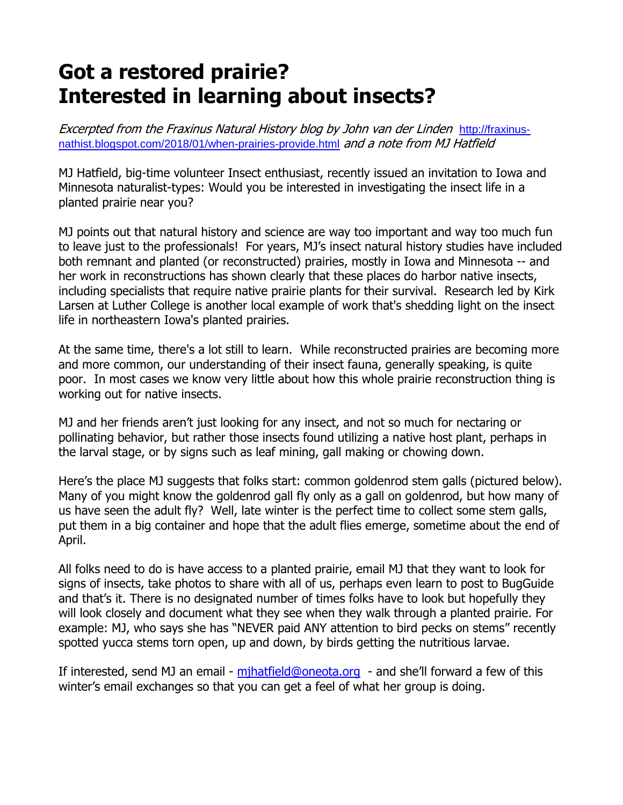## **Got a restored prairie? Interested in learning about insects?**

Excerpted from the Fraxinus Natural History blog by John van der Linden http://fraxinusnathist.blogspot.com/2018/01/when-prairies-provide.html and a note from MJ Hatfield

MJ Hatfield, big-time volunteer Insect enthusiast, recently issued an invitation to Iowa and Minnesota naturalist-types: Would you be interested in investigating the insect life in a planted prairie near you?

MJ points out that natural history and science are way too important and way too much fun to leave just to the professionals! For years, MJ's insect natural history studies have included both remnant and planted (or reconstructed) prairies, mostly in Iowa and Minnesota -- and her work in reconstructions has shown clearly that these places do harbor native insects, including specialists that require native prairie plants for their survival. Research led by Kirk Larsen at Luther College is another local example of work that's shedding light on the insect life in northeastern Iowa's planted prairies.

At the same time, there's a lot still to learn. While reconstructed prairies are becoming more and more common, our understanding of their insect fauna, generally speaking, is quite poor. In most cases we know very little about how this whole prairie reconstruction thing is working out for native insects.

MJ and her friends aren't just looking for any insect, and not so much for nectaring or pollinating behavior, but rather those insects found utilizing a native host plant, perhaps in the larval stage, or by signs such as leaf mining, gall making or chowing down.

Here's the place MJ suggests that folks start: common goldenrod stem galls (pictured below). Many of you might know the goldenrod gall fly only as a gall on goldenrod, but how many of us have seen the adult fly? Well, late winter is the perfect time to collect some stem galls, put them in a big container and hope that the adult flies emerge, sometime about the end of April.

All folks need to do is have access to a planted prairie, email MJ that they want to look for signs of insects, take photos to share with all of us, perhaps even learn to post to BugGuide and that's it. There is no designated number of times folks have to look but hopefully they will look closely and document what they see when they walk through a planted prairie. For example: MJ, who says she has "NEVER paid ANY attention to bird pecks on stems" recently spotted yucca stems torn open, up and down, by birds getting the nutritious larvae.

If interested, send MJ an email - mjhatfield@oneota.org - and she'll forward a few of this winter's email exchanges so that you can get a feel of what her group is doing.